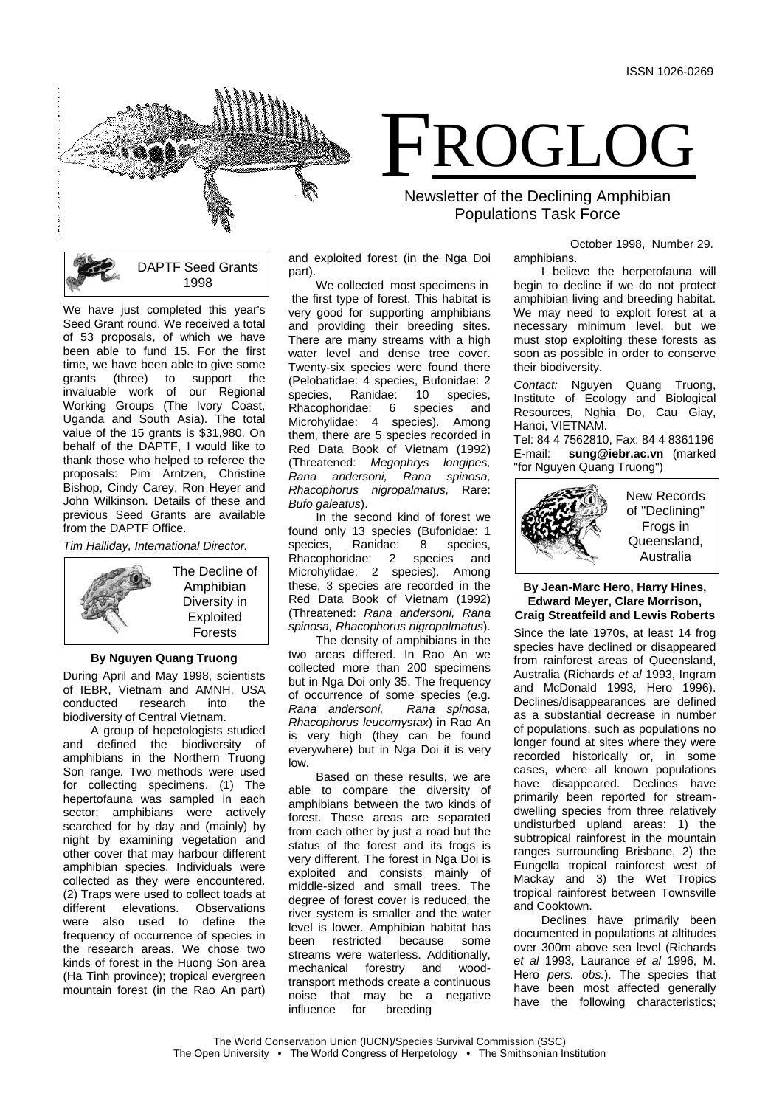

FROGLOG

Newsletter of the Declining Amphibian Populations Task Force



We have just completed this year's Seed Grant round. We received a total of 53 proposals, of which we have been able to fund 15. For the first time, we have been able to give some grants (three) to support the invaluable work of our Regional Working Groups (The Ivory Coast, Uganda and South Asia). The total value of the 15 grants is \$31,980. On behalf of the DAPTF, I would like to thank those who helped to referee the proposals: Pim Arntzen, Christine Bishop, Cindy Carey, Ron Heyer and John Wilkinson. Details of these and previous Seed Grants are available from the DAPTF Office.

*Tim Halliday, International Director.*



# **By Nguyen Quang Truong**

During April and May 1998, scientists of IEBR, Vietnam and AMNH, USA conducted research into the biodiversity of Central Vietnam.

A group of hepetologists studied and defined the biodiversity of amphibians in the Northern Truong Son range. Two methods were used for collecting specimens. (1) The hepertofauna was sampled in each sector; amphibians were actively searched for by day and (mainly) by night by examining vegetation and other cover that may harbour different amphibian species. Individuals were collected as they were encountered. (2) Traps were used to collect toads at elevations. Observations were also used to define the frequency of occurrence of species in the research areas. We chose two kinds of forest in the Huong Son area (Ha Tinh province); tropical evergreen mountain forest (in the Rao An part)

and exploited forest (in the Nga Doi part).

We collected most specimens in the first type of forest. This habitat is very good for supporting amphibians and providing their breeding sites. There are many streams with a high water level and dense tree cover. Twenty-six species were found there (Pelobatidae: 4 species, Bufonidae: 2 species, Ranidae: 10 species,<br>Rhacophoridae: 6 species and Rhacophoridae: 6 Microhylidae: 4 species). Among them, there are 5 species recorded in Red Data Book of Vietnam (1992) (Threatened: *Megophrys longipes, Rana andersoni, Rana spinosa, Rhacophorus nigropalmatus,* Rare: *Bufo galeatus*).

In the second kind of forest we found only 13 species (Bufonidae: 1<br>species, Ranidae: 8 species, 8 species,<br>species and Rhacophoridae: 2 Microhylidae: 2 species). Among these, 3 species are recorded in the Red Data Book of Vietnam (1992) (Threatened: *Rana andersoni, Rana spinosa, Rhacophorus nigropalmatus*).

The density of amphibians in the two areas differed. In Rao An we collected more than 200 specimens but in Nga Doi only 35. The frequency of occurrence of some species (e.g.<br>Rana andersoni. Rana spinosa. *Rana andersoni, Rana spinosa, Rhacophorus leucomystax*) in Rao An is very high (they can be found everywhere) but in Nga Doi it is very low.

Based on these results, we are able to compare the diversity of amphibians between the two kinds of forest. These areas are separated from each other by just a road but the status of the forest and its frogs is very different. The forest in Nga Doi is exploited and consists mainly of middle-sized and small trees. The degree of forest cover is reduced, the river system is smaller and the water level is lower. Amphibian habitat has been restricted because some streams were waterless. Additionally, mechanical forestry and woodtransport methods create a continuous noise that may be a negative influence for breeding

October 1998, Number 29. amphibians.

I believe the herpetofauna will begin to decline if we do not protect amphibian living and breeding habitat. We may need to exploit forest at a necessary minimum level, but we must stop exploiting these forests as soon as possible in order to conserve their biodiversity.

*Contact:* Nguyen Quang Truong, Institute of Ecology and Biological Resources, Nghia Do, Cau Giay, Hanoi, VIETNAM.

Tel: 84 4 7562810, Fax: 84 4 8361196 E-mail: **sung@iebr.ac.vn** (marked "for Nguyen Quang Truong")



### **By Jean-Marc Hero, Harry Hines, Edward Meyer, Clare Morrison, Craig Streatfeild and Lewis Roberts**

Since the late 1970s, at least 14 frog species have declined or disappeared from rainforest areas of Queensland, Australia (Richards *et al* 1993, Ingram and McDonald 1993, Hero 1996). Declines/disappearances are defined as a substantial decrease in number of populations, such as populations no longer found at sites where they were recorded historically or, in some cases, where all known populations have disappeared. Declines have primarily been reported for streamdwelling species from three relatively undisturbed upland areas: 1) the subtropical rainforest in the mountain ranges surrounding Brisbane, 2) the Eungella tropical rainforest west of Mackay and 3) the Wet Tropics tropical rainforest between Townsville and Cooktown.

Declines have primarily been documented in populations at altitudes over 300m above sea level (Richards *et al* 1993, Laurance *et al* 1996, M. Hero *pers. obs.*). The species that have been most affected generally have the following characteristics;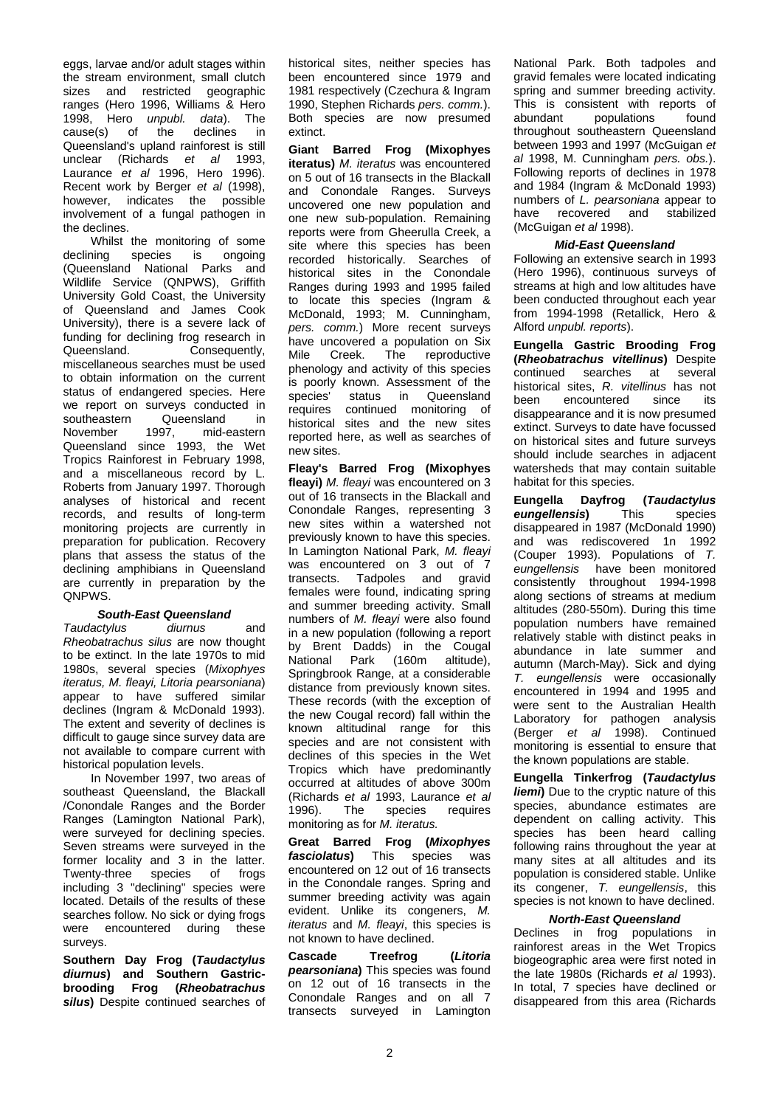eggs, larvae and/or adult stages within the stream environment, small clutch sizes and restricted geographic ranges (Hero 1996, Williams & Hero 1998, Hero *unpubl. data*). The  $cause(s)$  of the declines Queensland's upland rainforest is still unclear (Richards *et al* 1993, Laurance *et al* 1996, Hero 1996). Recent work by Berger *et al* (1998), however, indicates the possible involvement of a fungal pathogen in the declines.

Whilst the monitoring of some<br>declining species is ongoing species is ongoing (Queensland National Parks and Wildlife Service (QNPWS), Griffith University Gold Coast, the University of Queensland and James Cook University), there is a severe lack of funding for declining frog research in<br>Queensland. Consequently. Consequently, miscellaneous searches must be used to obtain information on the current status of endangered species. Here we report on surveys conducted in<br>southeastern Queensland in southeastern Queensland in<br>November 1997, mid-eastern mid-eastern Queensland since 1993, the Wet Tropics Rainforest in February 1998, and a miscellaneous record by L. Roberts from January 1997. Thorough analyses of historical and recent records, and results of long-term monitoring projects are currently in preparation for publication. Recovery plans that assess the status of the declining amphibians in Queensland are currently in preparation by the QNPWS.

# *South-East Queensland*

*Taudactylus diurnus* and *Rheobatrachus silus* are now thought to be extinct. In the late 1970s to mid 1980s, several species (*Mixophyes iteratus, M. fleayi, Litoria pearsoniana*) appear to have suffered similar declines (Ingram & McDonald 1993). The extent and severity of declines is difficult to gauge since survey data are not available to compare current with historical population levels.

In November 1997, two areas of southeast Queensland, the Blackall /Conondale Ranges and the Border Ranges (Lamington National Park), were surveyed for declining species. Seven streams were surveyed in the former locality and 3 in the latter.<br>Twenty-three species of frogs Twenty-three species of frogs including 3 "declining" species were located. Details of the results of these searches follow. No sick or dying frogs were encountered during these surveys.

**Southern Day Frog (***Taudactylus diurnus***) and Southern Gastricbrooding Frog (***Rheobatrachus silus***)** Despite continued searches of historical sites, neither species has been encountered since 1979 and 1981 respectively (Czechura & Ingram 1990, Stephen Richards *pers. comm.*). Both species are now presumed extinct.

**Giant Barred Frog (Mixophyes iteratus)** *M. iteratus* was encountered on 5 out of 16 transects in the Blackall and Conondale Ranges. Surveys uncovered one new population and one new sub-population. Remaining reports were from Gheerulla Creek, a site where this species has been recorded historically. Searches of historical sites in the Conondale Ranges during 1993 and 1995 failed to locate this species (Ingram & McDonald, 1993; M. Cunningham, *pers. comm.*) More recent surveys .<br>have uncovered a population on Six<br>Mile Creek. The reproductive reproductive phenology and activity of this species is poorly known. Assessment of the species' status in Queensland requires continued monitoring of historical sites and the new sites reported here, as well as searches of new sites.

**Fleay's Barred Frog (Mixophyes fleayi)** *M. fleayi* was encountered on 3 out of 16 transects in the Blackall and Conondale Ranges, representing 3 new sites within a watershed not previously known to have this species. In Lamington National Park, *M. fleayi* was encountered on 3 out of 7<br>transects. Tadpoles and gravid and gravid females were found, indicating spring and summer breeding activity. Small numbers of *M. fleayi* were also found in a new population (following a report by Brent Dadds) in the Cougal National Park (160m altitude), Springbrook Range, at a considerable distance from previously known sites. These records (with the exception of the new Cougal record) fall within the known altitudinal range for this species and are not consistent with declines of this species in the Wet Tropics which have predominantly occurred at altitudes of above 300m (Richards *et al* 1993, Laurance *et al*  1996). The species requires monitoring as for *M. iteratus.*

**Great Barred Frog (***Mixophyes fasciolatus***)** This species was encountered on 12 out of 16 transects in the Conondale ranges. Spring and summer breeding activity was again evident. Unlike its congeners, *M. iteratus* and *M. fleayi*, this species is not known to have declined.

**Cascade Treefrog (***Litoria pearsoniana***)** This species was found on 12 out of 16 transects in the Conondale Ranges and on all 7 transects surveyed in Lamington

National Park. Both tadpoles and gravid females were located indicating spring and summer breeding activity. This is consistent with reports of<br>abundant populations found populations throughout southeastern Queensland between 1993 and 1997 (McGuigan *et al* 1998, M. Cunningham *pers. obs.*). Following reports of declines in 1978 and 1984 (Ingram & McDonald 1993) numbers of *L. pearsoniana* appear to have recovered and stabilized (McGuigan *et al* 1998).

# *Mid-East Queensland*

Following an extensive search in 1993 (Hero 1996), continuous surveys of streams at high and low altitudes have been conducted throughout each year from 1994-1998 (Retallick, Hero & Alford *unpubl. reports*).

**Eungella Gastric Brooding Frog (***Rheobatrachus vitellinus***)** Despite searches historical sites, *R. vitellinus* has not encountered since its disappearance and it is now presumed extinct. Surveys to date have focussed on historical sites and future surveys should include searches in adjacent watersheds that may contain suitable habitat for this species.

**Eungella Dayfrog (***Taudactylus eungellensis***)** This species disappeared in 1987 (McDonald 1990) and was rediscovered 1n 1992 (Couper 1993). Populations of *T. eungellensis* have been monitored consistently throughout 1994-1998 along sections of streams at medium altitudes (280-550m). During this time population numbers have remained relatively stable with distinct peaks in abundance in late summer and autumn (March-May). Sick and dying *T. eungellensis* were occasionally encountered in 1994 and 1995 and were sent to the Australian Health Laboratory for pathogen analysis (Berger *et al* 1998). Continued monitoring is essential to ensure that the known populations are stable.

**Eungella Tinkerfrog (***Taudactylus liemi*) Due to the cryptic nature of this species, abundance estimates are dependent on calling activity. This species has been heard calling following rains throughout the year at many sites at all altitudes and its population is considered stable. Unlike its congener, *T. eungellensis*, this species is not known to have declined.

# *North-East Queensland*

Declines in frog populations in rainforest areas in the Wet Tropics biogeographic area were first noted in the late 1980s (Richards *et al* 1993). In total, 7 species have declined or disappeared from this area (Richards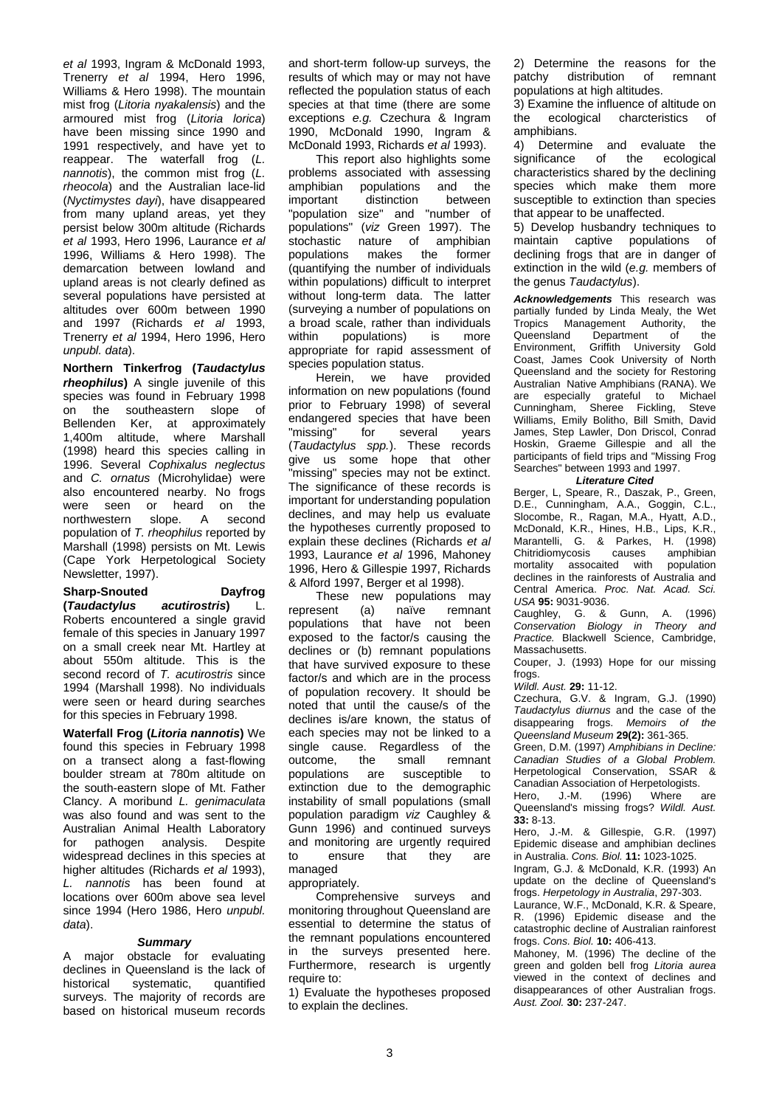*et al* 1993, Ingram & McDonald 1993, Trenerry *et al* 1994, Hero 1996, Williams & Hero 1998). The mountain mist frog (*Litoria nyakalensis*) and the armoured mist frog (*Litoria lorica*) have been missing since 1990 and 1991 respectively, and have yet to reappear. The waterfall frog (*L. nannotis*), the common mist frog (*L. rheocola*) and the Australian lace-lid (*Nyctimystes dayi*), have disappeared from many upland areas, yet they persist below 300m altitude (Richards *et al* 1993, Hero 1996, Laurance *et al*  1996, Williams & Hero 1998). The demarcation between lowland and upland areas is not clearly defined as several populations have persisted at altitudes over 600m between 1990 and 1997 (Richards *et al* 1993, Trenerry *et al* 1994, Hero 1996, Hero *unpubl. data*).

**Northern Tinkerfrog (***Taudactylus rheophilus***)** A single juvenile of this species was found in February 1998 on the southeastern slope of Bellenden Ker, at approximately 1,400m altitude, where Marshall (1998) heard this species calling in 1996. Several *Cophixalus neglectus* and *C. ornatus* (Microhylidae) were also encountered nearby. No frogs<br>were seen or heard on the were seen or heard on the<br>northwestern slope. A second northwestern population of *T. rheophilus* reported by Marshall (1998) persists on Mt. Lewis (Cape York Herpetological Society Newsletter, 1997).

#### **Sharp-Snouted Dayfrog**<br>**(Taudactylus acutirostris)** L.  $I$ Taudactylus

Roberts encountered a single gravid female of this species in January 1997 on a small creek near Mt. Hartley at about 550m altitude. This is the second record of *T. acutirostris* since 1994 (Marshall 1998). No individuals were seen or heard during searches for this species in February 1998.

**Waterfall Frog (***Litoria nannotis***)** We found this species in February 1998 on a transect along a fast-flowing boulder stream at 780m altitude on the south-eastern slope of Mt. Father Clancy. A moribund *L. genimaculata* was also found and was sent to the Australian Animal Health Laboratory<br>for pathogen analysis Despite pathogen analysis. widespread declines in this species at higher altitudes (Richards *et al* 1993), *L. nannotis* has been found at locations over 600m above sea level since 1994 (Hero 1986, Hero *unpubl. data*).

# *Summary*

A major obstacle for evaluating declines in Queensland is the lack of historical systematic, quantified surveys. The majority of records are based on historical museum records

and short-term follow-up surveys, the results of which may or may not have reflected the population status of each species at that time (there are some exceptions *e.g.* Czechura & Ingram 1990, McDonald 1990, Ingram & McDonald 1993, Richards *et al* 1993).

This report also highlights some problems associated with assessing<br>amphibian populations and the amphibian populations and the<br>important distinction between distinction "population size" and "number of populations" (*viz* Green 1997). The stochastic nature of amphibian<br>nopulations makes the former makes the (quantifying the number of individuals within populations) difficult to interpret without long-term data. The latter (surveying a number of populations on a broad scale, rather than individuals<br>within populations) is more populations) is appropriate for rapid assessment of species population status.

Herein, we have provided information on new populations (found prior to February 1998) of several endangered species that have been<br>"missing" for several years several (*Taudactylus spp.*). These records give us some hope that other "missing" species may not be extinct. The significance of these records is important for understanding population declines, and may help us evaluate the hypotheses currently proposed to explain these declines (Richards *et al* 1993, Laurance *et al* 1996, Mahoney 1996, Hero & Gillespie 1997, Richards & Alford 1997, Berger et al 1998).

These new populations may<br>
sent (a) naïve remnant represent populations that have not been exposed to the factor/s causing the declines or (b) remnant populations that have survived exposure to these factor/s and which are in the process of population recovery. It should be noted that until the cause/s of the declines is/are known, the status of each species may not be linked to a single cause. Regardless of the outcome, the small remnant outcome, populations are susceptible to extinction due to the demographic instability of small populations (small population paradigm *viz* Caughley & Gunn 1996) and continued surveys and monitoring are urgently required<br>to ensure that they are to ensure that they are managed

appropriately.

Comprehensive surveys and monitoring throughout Queensland are essential to determine the status of the remnant populations encountered in the surveys presented here. Furthermore, research is urgently require to:

1) Evaluate the hypotheses proposed to explain the declines.

2) Determine the reasons for the patchy distribution of remnant distribution of populations at high altitudes.

3) Examine the influence of altitude on the ecological charcteristics of amphibians.<br>4) Determi

Determine and evaluate the<br>ificance of the ecological significance characteristics shared by the declining species which make them more susceptible to extinction than species that appear to be unaffected.

5) Develop husbandry techniques to<br>maintain captive populations of captive populations of declining frogs that are in danger of extinction in the wild (*e.g.* members of the genus *Taudactylus*).

*Acknowledgements* This research was partially funded by Linda Mealy, the Wet<br>Tropics Management Authority, the Tropics Management Authority, the<br>Queensland Department of the Queensland Department of the<br>Environment, Griffith University Gold Griffith University Coast, James Cook University of North Queensland and the society for Restoring Australian Native Amphibians (RANA). We are especially grateful to Michael Cunningham, Sheree Fickling, Steve Williams, Emily Bolitho, Bill Smith, David James, Step Lawler, Don Driscol, Conrad Hoskin, Graeme Gillespie and all the participants of field trips and "Missing Frog Searches" between 1993 and 1997.

# *Literature Cited*

Berger, L, Speare, R., Daszak, P., Green, D.E., Cunningham, A.A., Goggin, C.L., Slocombe, R., Ragan, M.A., Hyatt, A.D., McDonald, K.R., Hines, H.B., Lips, K.R., Marantelli, G. & Parkes, H. (1998) Chitridiomycosis mortality assocaited with population declines in the rainforests of Australia and Central America. *Proc. Nat. Acad. Sci. USA* **95:** 9031-9036.

Caughley, G. & Gunn, A. (1996) *Conservation Biology in Theory and Practice.* Blackwell Science, Cambridge, Massachusetts.

Couper, J. (1993) Hope for our missing frogs.

*Wildl. Aust.* **29:** 11-12.

Czechura, G.V. & Ingram, G.J. (1990) *Taudactylus diurnus* and the case of the disappearing frogs. *Memoirs of the Queensland Museum* **29(2):** 361-365.

Green, D.M. (1997) *Amphibians in Decline: Canadian Studies of a Global Problem.* Herpetological Conservation, SSAR & Canadian Association of Herpetologists.

Hero, J.-M. (1996) Where are Queensland's missing frogs? *Wildl. Aust.* **33:** 8-13.

Hero, J.-M. & Gillespie, G.R. (1997) Epidemic disease and amphibian declines in Australia. *Cons. Biol.* **11:** 1023-1025.

Ingram, G.J. & McDonald, K.R. (1993) An update on the decline of Queensland's frogs. *Herpetology in Australia*, 297-303.

Laurance, W.F., McDonald, K.R. & Speare, R. (1996) Epidemic disease and the catastrophic decline of Australian rainforest frogs. *Cons. Biol.* **10:** 406-413.

Mahoney, M. (1996) The decline of the green and golden bell frog *Litoria aurea* viewed in the context of declines and disappearances of other Australian frogs. *Aust. Zool.* **30:** 237-247.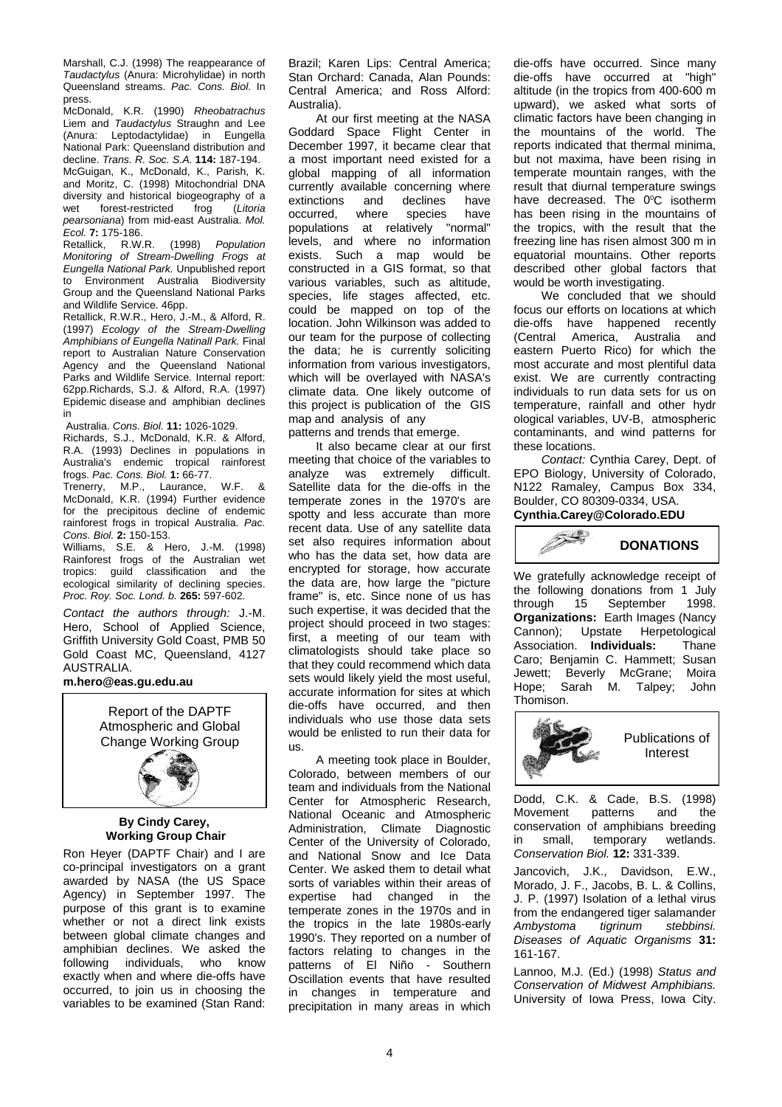Marshall, C.J. (1998) The reappearance of *Taudactylus* (Anura: Microhylidae) in north Queensland streams. *Pac. Cons. Biol.* In press.

McDonald, K.R. (1990) *Rheobatrachus* Liem and *Taudactylus* Straughn and Lee (Anura: Leptodactylidae) in Eungella National Park: Queensland distribution and decline. *Trans. R. Soc. S.A.* **114:** 187-194. McGuigan, K., McDonald, K., Parish, K. and Moritz, C. (1998) Mitochondrial DNA diversity and historical biogeography of a<br>wet forest-restricted frog (Litoria forest-restricted *pearsoniana*) from mid-east Australia. *Mol. Ecol.* **7:** 175-186.

Retallick, R.W.R. (1998) *Population Monitoring of Stream-Dwelling Frogs at Eungella National Park.* Unpublished report to Environment Australia Biodiversity Group and the Queensland National Parks and Wildlife Service. 46pp.

Retallick, R.W.R., Hero, J.-M., & Alford, R. (1997) *Ecology of the Stream-Dwelling Amphibians of Eungella Natinall Park.* Final report to Australian Nature Conservation Agency and the Queensland National Parks and Wildlife Service. Internal report: 62pp.Richards, S.J. & Alford, R.A. (1997) Epidemic disease and amphibian declines in

Australia. *Cons. Biol.* **11:** 1026-1029.

Richards, S.J., McDonald, K.R. & Alford, R.A. (1993) Declines in populations in Australia's endemic tropical rainforest frogs. *Pac. Cons. Biol.* **1:** 66-77.

M.P., Laurance, W.F. & McDonald, K.R. (1994) Further evidence for the precipitous decline of endemic rainforest frogs in tropical Australia. *Pac. Cons. Biol.* **2:** 150-153.

Williams, S.E. & Hero, J.-M. (1998) Rainforest frogs of the Australian wet tropics: guild classification and the ecological similarity of declining species. *Proc. Roy. Soc. Lond. b.* **265:** 597-602.

*Contact the authors through:* J.-M. Hero, School of Applied Science, Griffith University Gold Coast, PMB 50 Gold Coast MC, Queensland, 4127 AUSTRALIA.

# **m.hero@eas.gu.edu.au**



# **By Cindy Carey, Working Group Chair**

Ron Heyer (DAPTF Chair) and I are co-principal investigators on a grant awarded by NASA (the US Space Agency) in September 1997. The purpose of this grant is to examine whether or not a direct link exists between global climate changes and amphibian declines. We asked the following individuals, who know exactly when and where die-offs have occurred, to join us in choosing the variables to be examined (Stan Rand:

Brazil; Karen Lips: Central America; Stan Orchard: Canada, Alan Pounds: Central America; and Ross Alford: Australia).

At our first meeting at the NASA Goddard Space Flight Center in December 1997, it became clear that a most important need existed for a global mapping of all information currently available concerning where<br>extinctions and declines have extinctions and declines have<br>occurred, where species have occurred, where species have populations at relatively "normal" levels, and where no information exists. Such a map would be constructed in a GIS format, so that various variables, such as altitude, species, life stages affected, etc. could be mapped on top of the location. John Wilkinson was added to our team for the purpose of collecting the data; he is currently soliciting information from various investigators, which will be overlayed with NASA's climate data. One likely outcome of this project is publication of the GIS map and analysis of any patterns and trends that emerge.

It also became clear at our first meeting that choice of the variables to analyze was extremely difficult. Satellite data for the die-offs in the temperate zones in the 1970's are spotty and less accurate than more recent data. Use of any satellite data set also requires information about who has the data set, how data are encrypted for storage, how accurate the data are, how large the "picture frame" is, etc. Since none of us has such expertise, it was decided that the project should proceed in two stages: first, a meeting of our team with climatologists should take place so that they could recommend which data sets would likely yield the most useful, accurate information for sites at which die-offs have occurred, and then individuals who use those data sets would be enlisted to run their data for us.

A meeting took place in Boulder, Colorado, between members of our team and individuals from the National Center for Atmospheric Research, National Oceanic and Atmospheric Administration, Climate Diagnostic Center of the University of Colorado, and National Snow and Ice Data Center. We asked them to detail what sorts of variables within their areas of expertise had changed in the temperate zones in the 1970s and in the tropics in the late 1980s-early 1990's. They reported on a number of factors relating to changes in the patterns of El Niño - Southern Oscillation events that have resulted in changes in temperature and precipitation in many areas in which

die-offs have occurred. Since many die-offs have occurred at "high" altitude (in the tropics from 400-600 m upward), we asked what sorts of climatic factors have been changing in the mountains of the world. The reports indicated that thermal minima, but not maxima, have been rising in temperate mountain ranges, with the result that diurnal temperature swings have decreased. The 0°C isotherm has been rising in the mountains of the tropics, with the result that the freezing line has risen almost 300 m in equatorial mountains. Other reports described other global factors that would be worth investigating.

We concluded that we should focus our efforts on locations at which die-offs have happened recently (Central America, Australia and eastern Puerto Rico) for which the most accurate and most plentiful data exist. We are currently contracting individuals to run data sets for us on temperature, rainfall and other hydr ological variables, UV-B, atmospheric contaminants, and wind patterns for these locations.

*Contact:* Cynthia Carey, Dept. of EPO Biology, University of Colorado, N122 Ramaley, Campus Box 334, Boulder, CO 80309-0334, USA. **Cynthia.Carey@Colorado.EDU**



We gratefully acknowledge receipt of the following donations from 1 July<br>through 15 September 1998. 15 September **Organizations:** Earth Images (Nancy Cannon); Upstate Herpetological Association. **Individuals:** Thane Caro; Benjamin C. Hammett; Susan Jewett; Beverly McGrane; Moira<br>Hope: Sarah M. Talpey: John Sarah M. Talpey; Thomison.



Dodd, C.K. & Cade, B.S. (1998) Movement patterns conservation of amphibians breeding in small, temporary wetlands. *Conservation Biol.* **12:** 331-339.

Jancovich, J.K., Davidson, E.W., Morado, J. F., Jacobs, B. L. & Collins, J. P. (1997) Isolation of a lethal virus from the endangered tiger salamander *Ambystoma tigrinum stebbinsi. Diseases of Aquatic Organisms* **31:**  161-167.

Lannoo, M.J. (Ed.) (1998) *Status and Conservation of Midwest Amphibians.*  University of Iowa Press, Iowa City.